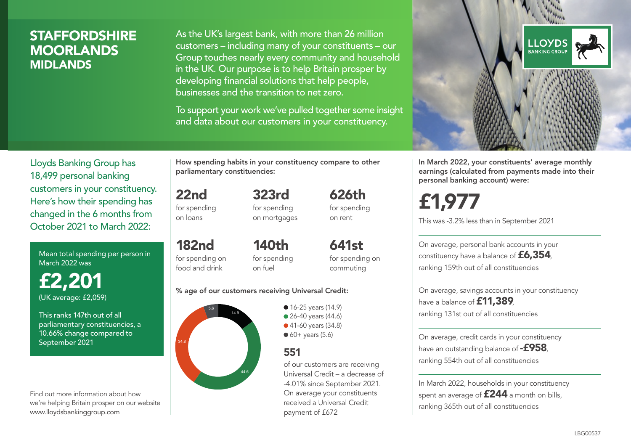### **STAFFORDSHIRE** MOORLANDS MIDLANDS

As the UK's largest bank, with more than 26 million customers – including many of your constituents – our Group touches nearly every community and household in the UK. Our purpose is to help Britain prosper by developing financial solutions that help people, businesses and the transition to net zero.

To support your work we've pulled together some insight and data about our customers in your constituency.



Mean total spending per person in March 2022 was

£2,201 (UK average: £2,059)

This ranks 147th out of all parliamentary constituencies, a 10.66% change compared to September 2021

Find out more information about how we're helping Britain prosper on our website www.lloydsbankinggroup.com

How spending habits in your constituency compare to other parliamentary constituencies:

> 323rd for spending

22nd for spending on loans

on mortgages

182nd for spending on food and drink 140th for spending on fuel

641st for spending on commuting

626th for spending on rent

#### % age of our customers receiving Universal Credit:



• 16-25 years (14.9) • 26-40 years (44.6) ● 41-60 years (34.8)  $60+$  years (5.6)

### 551

of our customers are receiving Universal Credit – a decrease of -4.01% since September 2021. On average your constituents received a Universal Credit payment of £672



In March 2022, your constituents' average monthly earnings (calculated from payments made into their personal banking account) were:

£1,977

This was -3.2% less than in September 2021

On average, personal bank accounts in your constituency have a balance of £6,354, ranking 159th out of all constituencies

On average, savings accounts in your constituency have a balance of **£11,389** ranking 131st out of all constituencies

On average, credit cards in your constituency have an outstanding balance of  $-$ £958. ranking 554th out of all constituencies

In March 2022, households in your constituency spent an average of **£244** a month on bills, ranking 365th out of all constituencies